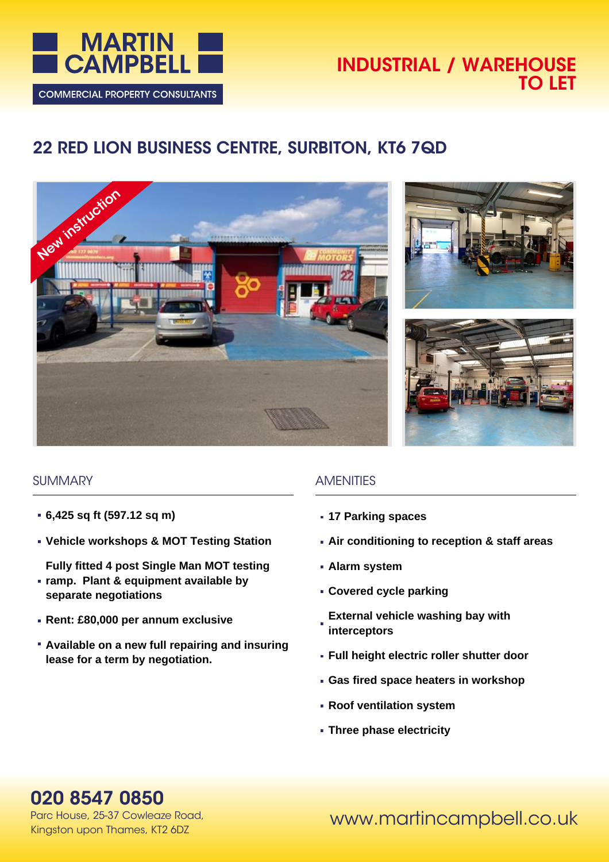

## **INDUSTRIAL / WAREHOUSE TO LET**

# **22 RED LION BUSINESS CENTRE, SURBITON, KT6 7QD**







### **SUMMARY**

- **6,425 sq ft (597.12 sq m)**
- **Vehicle workshops & MOT Testing Station**
- **Fully fitted 4 post Single Man MOT testing**
- **ramp. Plant & equipment available by separate negotiations**
- **Rent: £80,000 per annum exclusive**
- **Available on a new full repairing and insuring lease for a term by negotiation.**

## **AMENITIES**

- **17 Parking spaces**
- **Air conditioning to reception & staff areas**
- **Alarm system**
- **Covered cycle parking**
- **External vehicle washing bay with interceptors**
- **Full height electric roller shutter door**
- **Gas fired space heaters in workshop**
- **Roof ventilation system**
- **Three phase electricity**

## **020 8547 0850**

Parc House, 25-37 Cowleaze Road, Kingston upon Thames, KT2 6DZ

www.martincampbell.co.uk